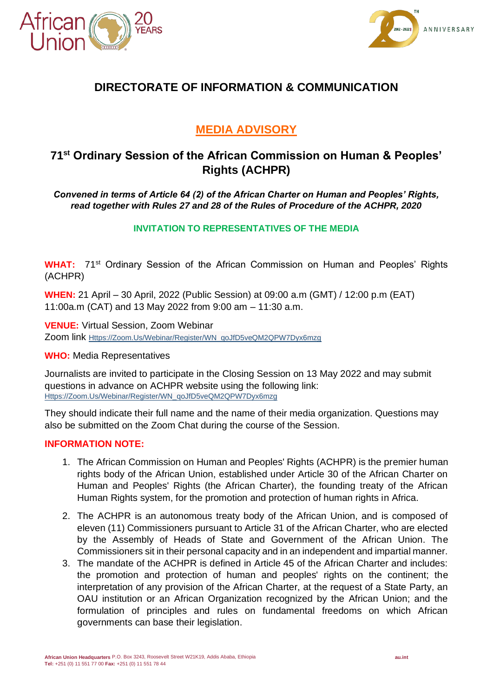



# **DIRECTORATE OF INFORMATION & COMMUNICATION**

# **MEDIA ADVISORY**

## **71st Ordinary Session of the African Commission on Human & Peoples' Rights (ACHPR)**

*Convened in terms of Article 64 (2) of the African Charter on Human and Peoples' Rights, read together with Rules 27 and 28 of the Rules of Procedure of the ACHPR, 2020*

## **INVITATION TO REPRESENTATIVES OF THE MEDIA**

**WHAT:** 71<sup>st</sup> Ordinary Session of the African Commission on Human and Peoples' Rights (ACHPR)

**WHEN:** 21 April – 30 April, 2022 (Public Session) at 09:00 a.m (GMT) / 12:00 p.m (EAT) 11:00a.m (CAT) and 13 May 2022 from 9:00 am – 11:30 a.m.

**VENUE:** Virtual Session, Zoom Webinar Zoom link [Https://Zoom.Us/Webinar/Register/WN\\_qoJfD5veQM2QPW7Dyx6mzg](https://zoom.us/webinar/register/WN_qoJfD5veQM2QPW7Dyx6mzg)

### **WHO:** Media Representatives

Journalists are invited to participate in the Closing Session on 13 May 2022 and may submit questions in advance on ACHPR website using the following link: [Https://Zoom.Us/Webinar/Register/WN\\_qoJfD5veQM2QPW7Dyx6mzg](https://zoom.us/webinar/register/WN_qoJfD5veQM2QPW7Dyx6mzg)

They should indicate their full name and the name of their media organization. Questions may also be submitted on the Zoom Chat during the course of the Session.

### **INFORMATION NOTE:**

- 1. The African Commission on Human and Peoples' Rights (ACHPR) is the premier human rights body of the African Union, established under Article 30 of the African Charter on Human and Peoples' Rights (the African Charter), the founding treaty of the African Human Rights system, for the promotion and protection of human rights in Africa.
- 2. The ACHPR is an autonomous treaty body of the African Union, and is composed of eleven (11) Commissioners pursuant to Article 31 of the African Charter, who are elected by the Assembly of Heads of State and Government of the African Union. The Commissioners sit in their personal capacity and in an independent and impartial manner.
- 3. The mandate of the ACHPR is defined in Article 45 of the African Charter and includes: the promotion and protection of human and peoples' rights on the continent; the interpretation of any provision of the African Charter, at the request of a State Party, an OAU institution or an African Organization recognized by the African Union; and the formulation of principles and rules on fundamental freedoms on which African governments can base their legislation.